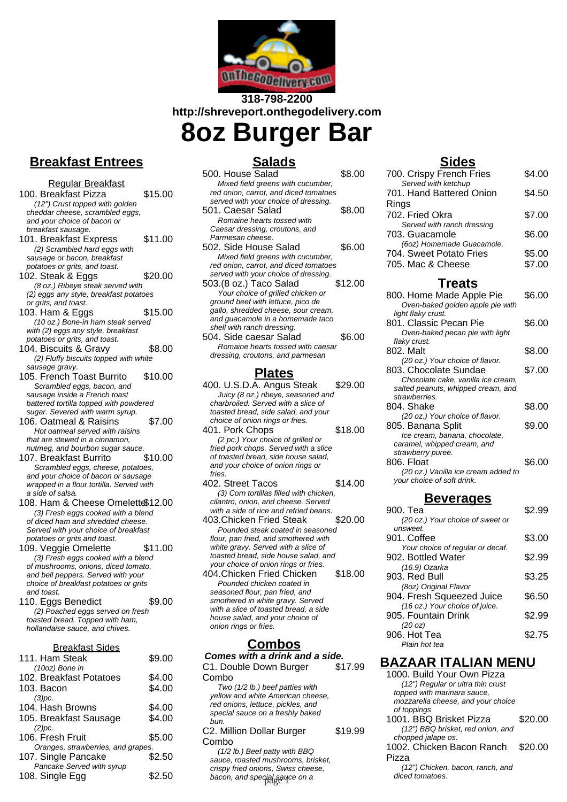

# **318-798-2200 http://shreveport.onthegodelivery.com 8oz Burger Bar**

# **Breakfast Entrees**

Regular Breakfast 100. Breakfast Pizza \$15.00 (12") Crust topped with golden cheddar cheese, scrambled eggs, and your choice of bacon or breakfast sausage. 101. Breakfast Express \$11.00 (2) Scrambled hard eggs with sausage or bacon, breakfast potatoes or grits, and toast. 102. Steak & Eggs \$20.00 (8 oz.) Ribeye steak served with (2) eggs any style, breakfast potatoes or grits, and toast. 103. Ham & Eggs \$15.00 (10 oz.) Bone-in ham steak served with (2) eggs any style, breakfast potatoes or grits, and toast. 104. Biscuits & Gravy \$8.00 (2) Fluffy biscuits topped with white sausage gravy. 105. French Toast Burrito \$10.00 Scrambled eggs, bacon, and sausage inside a French toast battered tortilla topped with powdered sugar. Severed with warm syrup. 106. Oatmeal & Raisins \$7.00 Hot oatmeal served with raisins that are stewed in a cinnamon, nutmeg, and bourbon sugar sauce. 107. Breakfast Burrito \$10.00 Scrambled eggs, cheese, potatoes, and your choice of bacon or sausage wrapped in a flour tortilla. Served with a side of salsa. 108. Ham & Cheese Omelette\$12.00 (3) Fresh eggs cooked with a blend of diced ham and shredded cheese. Served with your choice of breakfast potatoes or grits and toast. 109. Veggie Omelette \$11.00 (3) Fresh eggs cooked with a blend of mushrooms, onions, diced tomato, and bell peppers. Served with your choice of breakfast potatoes or grits and toast. 110. Eggs Benedict \$9.00 (2) Poached eggs served on fresh toasted bread. Topped with ham, hollandaise sauce, and chives. Breakfast Sides 111. Ham Steak \$9.00 (10oz) Bone in 102. Breakfast Potatoes \$4.00 103. Bacon \$4.00  $(3)pc$ . 104. Hash Browns \$4.00 105. Breakfast Sausage \$4.00 (2)pc.

| (2)pc.                             |        |
|------------------------------------|--------|
| 106. Fresh Fruit                   | \$5.00 |
| Oranges, strawberries, and grapes. |        |
| 107. Single Pancake                | \$2.50 |
| Pancake Served with syrup          |        |
| 108. Single Egg                    | \$2.50 |

## **Salads**

| 500. House Salad                      | \$8.00  |
|---------------------------------------|---------|
| Mixed field greens with cucumber,     |         |
| red onion, carrot, and diced tomatoes |         |
| served with your choice of dressing.  |         |
| 501. Caesar Salad                     | \$8.00  |
| Romaine hearts tossed with            |         |
| Caesar dressing, croutons, and        |         |
| Parmesan cheese.                      |         |
| 502. Side House Salad                 | \$6.00  |
| Mixed field greens with cucumber,     |         |
| red onion, carrot, and diced tomatoes |         |
| served with your choice of dressing.  |         |
| 503.(8 oz.) Taco Salad                | \$12.00 |
| Your choice of grilled chicken or     |         |
| ground beef with lettuce, pico de     |         |
| gallo, shredded cheese, sour cream,   |         |
| and guacamole in a homemade taco      |         |
| shell with ranch dressing.            |         |
| 504. Side caesar Salad                | \$6.00  |
| Romaine hearts tossed with caesar     |         |
| dressing, croutons, and parmesan      |         |
| afac                                  |         |

### **Plates**

| 400. U.S.D.A. Angus Steak           | \$29.00 |
|-------------------------------------|---------|
| Juicy (8 oz.) ribeye, seasoned and  |         |
| charbroiled. Served with a slice of |         |
| toasted bread, side salad, and your |         |
| choice of onion rings or fries.     |         |
| $\sim$ $\sim$ $\sim$ $\sim$ $\sim$  |         |

- 401. Pork Chops \$18.00 (2 pc.) Your choice of grilled or fried pork chops. Served with a slice of toasted bread, side house salad, and your choice of onion rings or fries.
- 402. Street Tacos \$14.00 (3) Corn tortillas filled with chicken, cilantro, onion, and cheese. Served with a side of rice and refried beans.
- 403.Chicken Fried Steak \$20.00 Pounded steak coated in seasoned flour, pan fried, and smothered with white gravy. Served with a slice of toasted bread, side house salad, and your choice of onion rings or fries.
- 404.Chicken Fried Chicken \$18.00 Pounded chicken coated in seasoned flour, pan fried, and smothered in white gravy. Served with a slice of toasted bread, a side house salad, and your choice of onion rings or fries.

### **Combos**

**Comes with a drink and a side.** C1. Double Down Burger Combo \$17.99

Two (1/2 lb.) beef patties with yellow and white American cheese, red onions, lettuce, pickles, and special sauce on a freshly baked bun.

C2. Million Dollar Burger Combo \$19.99

(1/2 lb.) Beef patty with BBQ sauce, roasted mushrooms, brisket, crispy fried onions, Swiss cheese, bacon, and special sauce on a **community** diced tomatoes.

### **Sides**

| 700. Crispy French Fries                             | \$4.00 |
|------------------------------------------------------|--------|
| Served with ketchup                                  |        |
| 701. Hand Battered Onion<br>Rings                    | \$4.50 |
| 702. Fried Okra                                      | \$7.00 |
| Served with ranch dressing                           |        |
| 703. Guacamole                                       | \$6.00 |
| (6oz) Homemade Guacamole.<br>704. Sweet Potato Fries | \$5.00 |
| 705. Mac & Cheese                                    | \$7.00 |
|                                                      |        |

#### **Treats**

| 800. Home Made Apple Pie            | \$6.00 |
|-------------------------------------|--------|
| Oven-baked golden apple pie with    |        |
| light flaky crust.                  |        |
| 801. Classic Pecan Pie              | \$6.00 |
| Oven-baked pecan pie with light     |        |
| flaky crust.                        |        |
| 802. Malt                           | \$8.00 |
| (20 oz.) Your choice of flavor.     |        |
| 803. Chocolate Sundae               | \$7.00 |
| Chocolate cake, vanilla ice cream,  |        |
| salted peanuts, whipped cream, and  |        |
| strawberries.                       |        |
| 804. Shake                          | \$8.00 |
| (20 oz.) Your choice of flavor.     |        |
| 805. Banana Split                   | \$9.00 |
| Ice cream, banana, chocolate,       |        |
| caramel, whipped cream, and         |        |
| strawberry puree.                   |        |
| 806. Float                          | \$6.00 |
| (20 oz.) Vanilla ice cream added to |        |
| your choice of soft drink.          |        |
|                                     |        |

#### **Beverages**

| 900. Tea                         | \$2.99 |
|----------------------------------|--------|
| (20 oz.) Your choice of sweet or |        |
| unsweet.                         |        |
| 901. Coffee                      | \$3.00 |
| Your choice of regular or decaf. |        |
| 902. Bottled Water               | \$2.99 |
| (16.9) Ozarka                    |        |
| 903. Red Bull                    | \$3.25 |
| (8oz) Original Flavor            |        |
| 904. Fresh Squeezed Juice        | \$6.50 |
| (16 oz.) Your choice of juice.   |        |
| 905. Fountain Drink              | \$2.99 |
| (20 oz)                          |        |
| 906. Hot Tea                     | \$2.75 |
| Plain hot tea                    |        |

## **BAZAAR ITALIAN MENU**

| 1000. Build Your Own Pizza         |         |
|------------------------------------|---------|
| (12") Regular or ultra thin crust  |         |
| topped with marinara sauce.        |         |
| mozzarella cheese, and your choice |         |
| of toppings                        |         |
| 1001. BBQ Brisket Pizza            | \$20.00 |
| (12") BBQ brisket, red onion, and  |         |
| chopped jalape os.                 |         |
| 1002. Chicken Bacon Ranch          | \$20.00 |
| Pizza                              |         |
| (12") Chicken, bacon, ranch, and   |         |
| diced tomatoes.                    |         |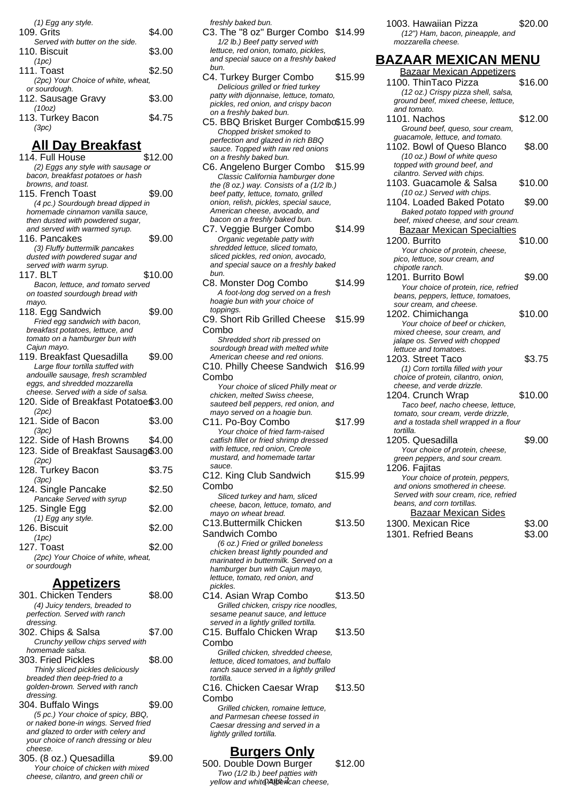| \$4.00                             |
|------------------------------------|
|                                    |
| \$3.00                             |
|                                    |
| \$2.50                             |
| (2pc) Your Choice of white, wheat, |
|                                    |
| \$3.00                             |
|                                    |
| \$4.75                             |
|                                    |
|                                    |

### **All Day Breakfast**

| 114. Full House                                                       | \$12.00 |
|-----------------------------------------------------------------------|---------|
| (2) Eggs any style with sausage or                                    |         |
| bacon, breakfast potatoes or hash                                     |         |
| browns, and toast.                                                    |         |
| 115. French Toast                                                     | \$9.00  |
| (4 pc.) Sourdough bread dipped in<br>homemade cinnamon vanilla sauce, |         |
| then dusted with powdered sugar,                                      |         |
| and served with warmed syrup.                                         |         |
| 116. Pancakes                                                         | \$9.00  |
| (3) Fluffy buttermilk pancakes                                        |         |
| dusted with powdered sugar and                                        |         |
| served with warm syrup.                                               |         |
| 117. BLT                                                              | \$10.00 |
| Bacon, lettuce, and tomato served                                     |         |
| on toasted sourdough bread with<br>mayo.                              |         |
| 118. Egg Sandwich                                                     | \$9.00  |
| Fried egg sandwich with bacon,                                        |         |
| breakfast potatoes, lettuce, and                                      |         |
| tomato on a hamburger bun with                                        |         |
| Cajun mayo.                                                           |         |
| 119. Breakfast Quesadilla                                             | \$9.00  |
| Large flour tortilla stuffed with                                     |         |
| andouille sausage, fresh scrambled                                    |         |
| eggs, and shredded mozzarella<br>cheese. Served with a side of salsa. |         |
| 120. Side of Breakfast Potatoe\$3.00                                  |         |
| (2pc)                                                                 |         |
| 121. Side of Bacon                                                    | \$3.00  |
| (3pc)                                                                 |         |
| 122. Side of Hash Browns                                              | \$4.00  |
| 123. Side of Breakfast Sausag \$3.00                                  |         |
| (2pc)                                                                 |         |
| 128. Turkey Bacon                                                     | \$3.75  |
| (3pc)                                                                 |         |
| 124. Single Pancake                                                   | \$2.50  |
| Pancake Served with syrup                                             |         |
| 125. Single Egg                                                       | \$2.00  |
| (1) Egg any style.                                                    |         |
| 126. Biscuit                                                          | \$2.00  |
| (1pc)                                                                 | \$2.00  |
| 127. Toast<br>(2pc) Your Choice of white, wheat,                      |         |
| or sourdough                                                          |         |
|                                                                       |         |
| <u>Appetizers</u>                                                     |         |
|                                                                       |         |

| 301. Chicken Tenders                  | \$8.00 |
|---------------------------------------|--------|
| (4) Juicy tenders, breaded to         |        |
| perfection. Served with ranch         |        |
| dressing.                             |        |
| 302. Chips & Salsa                    | \$7.00 |
| Crunchy yellow chips served with      |        |
| homemade salsa.                       |        |
| 303. Fried Pickles                    | \$8.00 |
| Thinly sliced pickles deliciously     |        |
| breaded then deep-fried to a          |        |
| golden-brown. Served with ranch       |        |
| dressing.                             |        |
| 304. Buffalo Wings                    | \$9.00 |
| (5 pc.) Your choice of spicy, BBQ,    |        |
| or naked bone-in wings. Served fried  |        |
| and glazed to order with celery and   |        |
| your choice of ranch dressing or bleu |        |
| cheese.                               |        |
| 305. (8 oz.) Quesadilla               |        |
| Vour abojas of abiokan with mixed     |        |

Your choice of chicken with mixed cheese, cilantro, and green chili or

freshly baked bun.

C3. The "8 oz" Burger Combo \$14.99 1/2 lb.) Beef patty served with lettuce, red onion, tomato, pickles, and special sauce on a freshly baked bun.

- C4. Turkey Burger Combo \$15.99 Delicious grilled or fried turkey patty with dijonnaise, lettuce, tomato, pickles, red onion, and crispy bacon on a freshly baked bun.
- C5. BBQ Brisket Burger Combo\$15.99 Chopped brisket smoked to perfection and glazed in rich BBQ sauce. Topped with raw red onions on a freshly baked bun.
- C6. Angeleno Burger Combo \$15.99 Classic California hamburger done the  $(8$  oz.) way. Consists of a  $(1/2$  lb.) beef patty, lettuce, tomato, grilled onion, relish, pickles, special sauce, American cheese, avocado, and bacon on a freshly baked bun.

C7. Veggie Burger Combo \$14.99 Organic vegetable patty with shredded lettuce, sliced tomato, sliced pickles, red onion, avocado, and special sauce on a freshly baked bun.

- C8. Monster Dog Combo \$14.99 A foot-long dog served on a fresh hoagie bun with your choice of toppings.
- C9. Short Rib Grilled Cheese Combo \$15.99 Shredded short rib pressed on sourdough bread with melted white
- American cheese and red onions. C10. Philly Cheese Sandwich \$16.99 Combo
- Your choice of sliced Philly meat or chicken, melted Swiss cheese. sauteed bell peppers, red onion, and mayo served on a hoagie bun. C11. Po-Boy Combo \$17.99 Your choice of fried farm-raised
- catfish fillet or fried shrimp dressed with lettuce, red onion, Creole mustard, and homemade tartar sauce.

C12. King Club Sandwich Combo \$15.99 Sliced turkey and ham, sliced

cheese, bacon, lettuce, tomato, and mayo on wheat bread. C13.Buttermilk Chicken Sandwich Combo \$13.50

(6 oz.) Fried or grilled boneless chicken breast lightly pounded and marinated in buttermilk. Served on a hamburger bun with Cajun mayo, lettuce, tomato, red onion, and pickles.

C14. Asian Wrap Combo \$13.50 Grilled chicken, crispy rice noodles, sesame peanut sauce, and lettuce served in a lightly grilled tortilla. C15. Buffalo Chicken Wrap Combo \$13.50

Grilled chicken, shredded cheese, lettuce, diced tomatoes, and buffalo ranch sauce served in a lightly grilled tortilla C16. Chicken Caesar Wrap \$13.50

Combo Grilled chicken, romaine lettuce, and Parmesan cheese tossed in

Caesar dressing and served in a lightly grilled tortilla.

#### **Burgers Only**

500. Double Down Burger \$12.00 Two (1/2 lb.) beef patties with yellow and white American cheese,

1003. Hawaiian Pizza \$20.00 (12") Ham, bacon, pineapple, and mozzarella cheese.

**BAZAAR MEXICAN MENU** Bazaar Mexican Appetizers 1100. ThinTaco Pizza  $$16.00$ (12 oz.) Crispy pizza shell, salsa, ground beef, mixed cheese, lettuce, and tomato. 1101. Nachos \$12.00 Ground beef, queso, sour cream, guacamole, lettuce, and tomato. 1102. Bowl of Queso Blanco \$8.00 (10 oz.) Bowl of white queso topped with ground beef, and cilantro. Served with chips. 1103. Guacamole & Salsa \$10.00 (10 oz.) Served with chips. 1104. Loaded Baked Potato \$9.00 Baked potato topped with ground beef, mixed cheese, and sour cream. Bazaar Mexican Specialties 1200. Burrito \$10.00 Your choice of protein, cheese, pico, lettuce, sour cream, and chipotle ranch. 1201. Burrito Bowl \$9.00 Your choice of protein, rice, refried beans, peppers, lettuce, tomatoes, sour cream, and cheese. 1202. Chimichanga \$10.00 Your choice of beef or chicken, mixed cheese, sour cream, and jalape os. Served with chopped lettuce and tomatoes. 1203. Street Taco \$3.75 (1) Corn tortilla filled with your choice of protein, cilantro, onion, cheese, and verde drizzle. 1204. Crunch Wrap \$10.00 Taco beef, nacho cheese, lettuce, tomato, sour cream, verde drizzle, and a tostada shell wrapped in a flour tortilla. 1205. Quesadilla \$9.00 Your choice of protein, cheese, green peppers, and sour cream. 1206. Fajitas Your choice of protein, peppers, and onions smothered in cheese. Served with sour cream, rice, refried beans, and corn tortillas. Bazaar Mexican Sides

1300. Mexican Rice \$3.00 1301. Refried Beans **\$3.00**